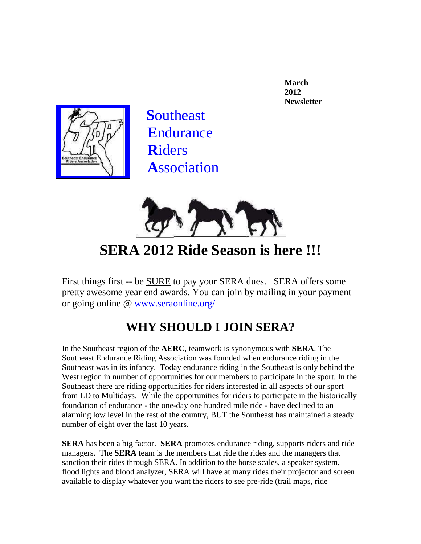**March 2012 Newsletter**



 **S**outheast **E**ndurance **R**iders **A**ssociation



**SERA 2012 Ride Season is here !!!**

First things first -- be SURE to pay your SERA dues. SERA offers some pretty awesome year end awards. You can join by mailing in your payment or going online @ [www.seraonline.org/](http://www.seraonline.org/new_membership.htm)

## **WHY SHOULD I JOIN SERA?**

In the Southeast region of the **AERC**, teamwork is synonymous with **SERA**. The Southeast Endurance Riding Association was founded when endurance riding in the Southeast was in its infancy. Today endurance riding in the Southeast is only behind the West region in number of opportunities for our members to participate in the sport. In the Southeast there are riding opportunities for riders interested in all aspects of our sport from LD to Multidays. While the opportunities for riders to participate in the historically foundation of endurance - the one-day one hundred mile ride - have declined to an alarming low level in the rest of the country, BUT the Southeast has maintained a steady number of eight over the last 10 years.

**SERA** has been a big factor. **SERA** promotes endurance riding, supports riders and ride managers. The **SERA** team is the members that ride the rides and the managers that sanction their rides through SERA. In addition to the horse scales, a speaker system, flood lights and blood analyzer*,* SERA will have at many rides their projector and screen available to display whatever you want the riders to see pre-ride (trail maps, ride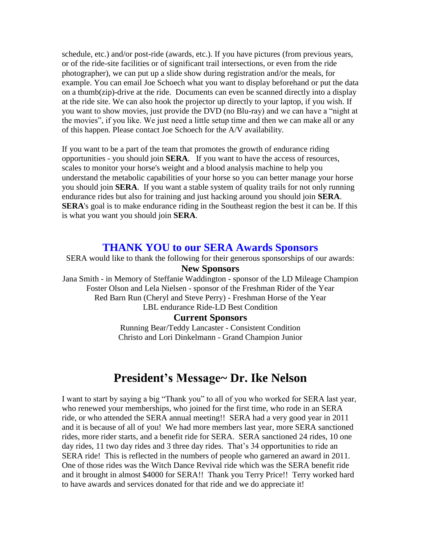schedule, etc.) and/or post-ride (awards, etc.). If you have pictures (from previous years, or of the ride-site facilities or of significant trail intersections, or even from the ride photographer), we can put up a slide show during registration and/or the meals, for example. You can email Joe Schoech what you want to display beforehand or put the data on a thumb(zip)-drive at the ride. Documents can even be scanned directly into a display at the ride site. We can also hook the projector up directly to your laptop, if you wish. If you want to show movies, just provide the DVD (no Blu-ray) and we can have a "night at the movies", if you like. We just need a little setup time and then we can make all or any of this happen. Please contact Joe Schoech for the A/V availability.

If you want to be a part of the team that promotes the growth of endurance riding opportunities - you should join **SERA**. If you want to have the access of resources, scales to monitor your horse's weight and a blood analysis machine to help you understand the metabolic capabilities of your horse so you can better manage your horse you should join **SERA**. If you want a stable system of quality trails for not only running endurance rides but also for training and just hacking around you should join **SERA**. **SERA**'s goal is to make endurance riding in the Southeast region the best it can be. If this is what you want you should join **SERA**.

### **THANK YOU to our SERA Awards Sponsors**

SERA would like to thank the following for their generous sponsorships of our awards: **New Sponsors** Jana Smith - in Memory of Steffanie Waddington - sponsor of the LD Mileage Champion Foster Olson and Lela Nielsen - sponsor of the Freshman Rider of the Year Red Barn Run (Cheryl and Steve Perry) - Freshman Horse of the Year LBL endurance Ride-LD Best Condition

#### **Current Sponsors**

Running Bear/Teddy Lancaster - Consistent Condition Christo and Lori Dinkelmann - Grand Champion Junior

### **President's Message~ Dr. Ike Nelson**

I want to start by saying a big "Thank you" to all of you who worked for SERA last year, who renewed your memberships, who joined for the first time, who rode in an SERA ride, or who attended the SERA annual meeting!! SERA had a very good year in 2011 and it is because of all of you! We had more members last year, more SERA sanctioned rides, more rider starts, and a benefit ride for SERA. SERA sanctioned 24 rides, 10 one day rides, 11 two day rides and 3 three day rides. That's 34 opportunities to ride an SERA ride! This is reflected in the numbers of people who garnered an award in 2011. One of those rides was the Witch Dance Revival ride which was the SERA benefit ride and it brought in almost \$4000 for SERA!! Thank you Terry Price!! Terry worked hard to have awards and services donated for that ride and we do appreciate it!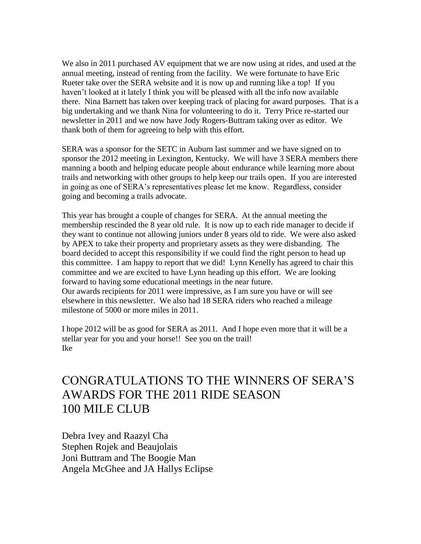We also in 2011 purchased AV equipment that we are now using at rides, and used at the annual meeting, instead of renting from the facility. We were fortunate to have Eric Rueter take over the SERA website and it is now up and running like a top! If you haven't looked at it lately I think you will be pleased with all the info now available there. Nina Barnett has taken over keeping track of placing for award purposes. That is a big undertaking and we thank Nina for volunteering to do it. Terry Price re-started our newsletter in 2011 and we now have Jody Rogers-Buttram taking over as editor. We thank both of them for agreeing to help with this effort.

SERA was a sponsor for the SETC in Auburn last summer and we have signed on to sponsor the 2012 meeting in Lexington, Kentucky. We will have 3 SERA members there manning a booth and helping educate people about endurance while learning more about trails and networking with other groups to help keep our trails open. If you are interested in going as one of SERA's representatives please let me know. Regardless, consider going and becoming a trails advocate.

This year has brought a couple of changes for SERA. At the annual meeting the membership rescinded the 8 year old rule. It is now up to each ride manager to decide if they want to continue not allowing juniors under 8 years old to ride. We were also asked by APEX to take their property and proprietary assets as they were disbanding. The board decided to accept this responsibility if we could find the right person to head up this committee. I am happy to report that we did! Lynn Kenelly has agreed to chair this committee and we are excited to have Lynn heading up this effort. We are looking forward to having some educational meetings in the near future. Our awards recipients for 2011 were impressive, as I am sure you have or will see elsewhere in this newsletter. We also had 18 SERA riders who reached a mileage milestone of 5000 or more miles in 2011.

I hope 2012 will be as good for SERA as 2011. And I hope even more that it will be a stellar year for you and your horse!! See you on the trail! Ike

## CONGRATULATIONS TO THE WINNERS OF SERA'S AWARDS FOR THE 2011 RIDE SEASON 100 MILE CLUB

Debra Ivey and Raazyl Cha Stephen Rojek and Beaujolais Joni Buttram and The Boogie Man Angela McGhee and JA Hallys Eclipse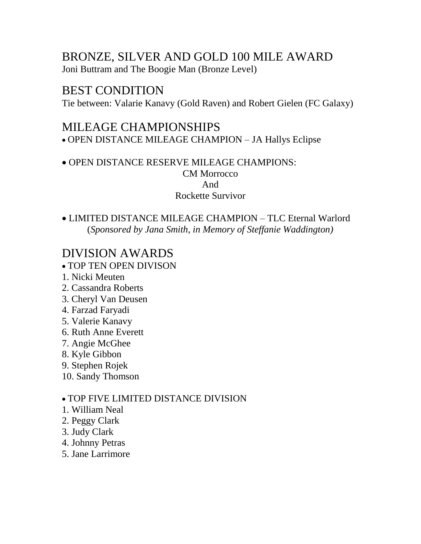# BRONZE, SILVER AND GOLD 100 MILE AWARD

Joni Buttram and The Boogie Man (Bronze Level)

## BEST CONDITION

Tie between: Valarie Kanavy (Gold Raven) and Robert Gielen (FC Galaxy)

## MILEAGE CHAMPIONSHIPS

OPEN DISTANCE MILEAGE CHAMPION – JA Hallys Eclipse

OPEN DISTANCE RESERVE MILEAGE CHAMPIONS: CM Morrocco And

## Rockette Survivor

LIMITED DISTANCE MILEAGE CHAMPION – TLC Eternal Warlord (*Sponsored by Jana Smith, in Memory of Steffanie Waddington)*

## DIVISION AWARDS

- TOP TEN OPEN DIVISON
- 1. Nicki Meuten
- 2. Cassandra Roberts
- 3. Cheryl Van Deusen
- 4. Farzad Faryadi
- 5. Valerie Kanavy
- 6. Ruth Anne Everett
- 7. Angie McGhee
- 8. Kyle Gibbon
- 9. Stephen Rojek
- 10. Sandy Thomson

### TOP FIVE LIMITED DISTANCE DIVISION

- 1. William Neal
- 2. Peggy Clark
- 3. Judy Clark
- 4. Johnny Petras
- 5. Jane Larrimore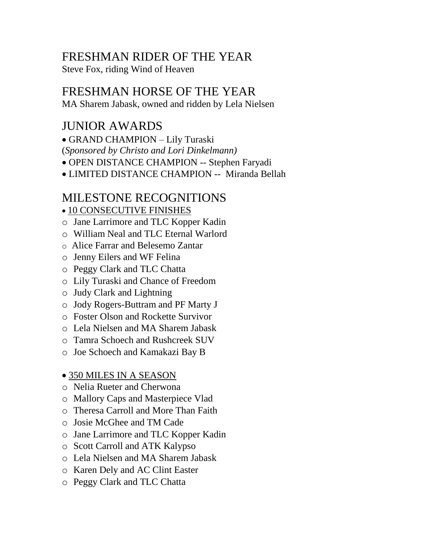## FRESHMAN RIDER OF THE YEAR

Steve Fox, riding Wind of Heaven

## FRESHMAN HORSE OF THE YEAR

MA Sharem Jabask, owned and ridden by Lela Nielsen

## JUNIOR AWARDS

GRAND CHAMPION – Lily Turaski (*Sponsored by Christo and Lori Dinkelmann)* 

OPEN DISTANCE CHAMPION -- Stephen Faryadi

LIMITED DISTANCE CHAMPION -- Miranda Bellah

## MILESTONE RECOGNITIONS

10 CONSECUTIVE FINISHES

- o Jane Larrimore and TLC Kopper Kadin
- o William Neal and TLC Eternal Warlord
- o Alice Farrar and Belesemo Zantar
- o Jenny Eilers and WF Felina
- o Peggy Clark and TLC Chatta
- o Lily Turaski and Chance of Freedom
- o Judy Clark and Lightning
- o Jody Rogers-Buttram and PF Marty J
- o Foster Olson and Rockette Survivor
- o Lela Nielsen and MA Sharem Jabask
- o Tamra Schoech and Rushcreek SUV
- o Joe Schoech and Kamakazi Bay B

### 350 MILES IN A SEASON

- o Nelia Rueter and Cherwona
- o Mallory Caps and Masterpiece Vlad
- o Theresa Carroll and More Than Faith
- o Josie McGhee and TM Cade
- o Jane Larrimore and TLC Kopper Kadin
- o Scott Carroll and ATK Kalypso
- o Lela Nielsen and MA Sharem Jabask
- o Karen Dely and AC Clint Easter
- o Peggy Clark and TLC Chatta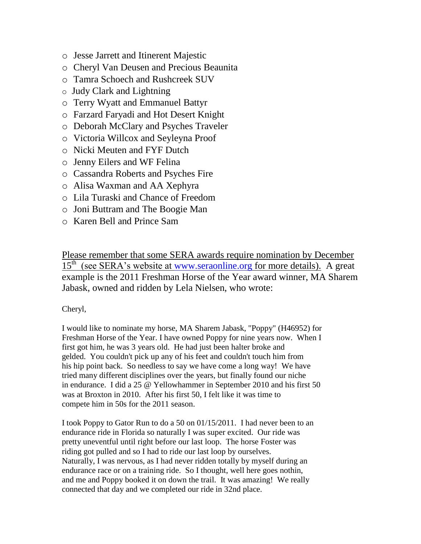- o Jesse Jarrett and Itinerent Majestic
- o Cheryl Van Deusen and Precious Beaunita
- o Tamra Schoech and Rushcreek SUV
- o Judy Clark and Lightning
- o Terry Wyatt and Emmanuel Battyr
- o Farzard Faryadi and Hot Desert Knight
- o Deborah McClary and Psyches Traveler
- o Victoria Willcox and Seyleyna Proof
- o Nicki Meuten and FYF Dutch
- o Jenny Eilers and WF Felina
- o Cassandra Roberts and Psyches Fire
- o Alisa Waxman and AA Xephyra
- o Lila Turaski and Chance of Freedom
- o Joni Buttram and The Boogie Man
- o Karen Bell and Prince Sam

Please remember that some SERA awards require nomination by December 15<sup>th</sup> (see SERA's website at [www.seraonline.org](http://www.seraonline.org/) for more details). A great example is the 2011 Freshman Horse of the Year award winner, MA Sharem Jabask, owned and ridden by Lela Nielsen, who wrote:

#### Cheryl,

I would like to nominate my horse, MA Sharem Jabask, "Poppy" (H46952) for Freshman Horse of the Year. I have owned Poppy for nine years now. When I first got him, he was 3 years old. He had just been halter broke and gelded. You couldn't pick up any of his feet and couldn't touch him from his hip point back. So needless to say we have come a long way! We have tried many different disciplines over the years, but finally found our niche in endurance. I did a 25 @ Yellowhammer in September 2010 and his first 50 was at Broxton in 2010. After his first 50, I felt like it was time to compete him in 50s for the 2011 season.

I took Poppy to Gator Run to do a 50 on 01/15/2011. I had never been to an endurance ride in Florida so naturally I was super excited. Our ride was pretty uneventful until right before our last loop. The horse Foster was riding got pulled and so I had to ride our last loop by ourselves. Naturally, I was nervous, as I had never ridden totally by myself during an endurance race or on a training ride. So I thought, well here goes nothin, and me and Poppy booked it on down the trail. It was amazing! We really connected that day and we completed our ride in 32nd place.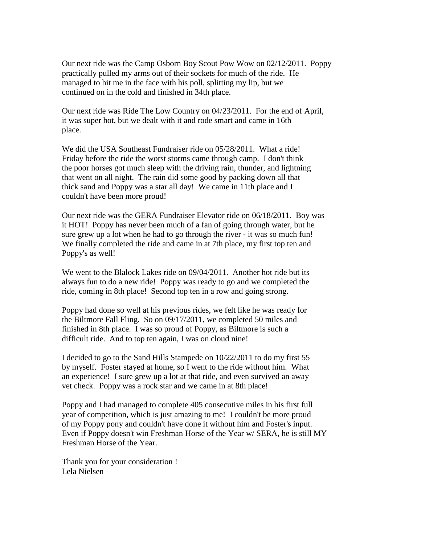Our next ride was the Camp Osborn Boy Scout Pow Wow on 02/12/2011. Poppy practically pulled my arms out of their sockets for much of the ride. He managed to hit me in the face with his poll, splitting my lip, but we continued on in the cold and finished in 34th place.

Our next ride was Ride The Low Country on 04/23/2011. For the end of April, it was super hot, but we dealt with it and rode smart and came in 16th place.

We did the USA Southeast Fundraiser ride on 05/28/2011. What a ride! Friday before the ride the worst storms came through camp. I don't think the poor horses got much sleep with the driving rain, thunder, and lightning that went on all night. The rain did some good by packing down all that thick sand and Poppy was a star all day! We came in 11th place and I couldn't have been more proud!

Our next ride was the GERA Fundraiser Elevator ride on 06/18/2011. Boy was it HOT! Poppy has never been much of a fan of going through water, but he sure grew up a lot when he had to go through the river - it was so much fun! We finally completed the ride and came in at 7th place, my first top ten and Poppy's as well!

We went to the Blalock Lakes ride on 09/04/2011. Another hot ride but its always fun to do a new ride! Poppy was ready to go and we completed the ride, coming in 8th place! Second top ten in a row and going strong.

Poppy had done so well at his previous rides, we felt like he was ready for the Biltmore Fall Fling. So on 09/17/2011, we completed 50 miles and finished in 8th place. I was so proud of Poppy, as Biltmore is such a difficult ride. And to top ten again, I was on cloud nine!

I decided to go to the Sand Hills Stampede on 10/22/2011 to do my first 55 by myself. Foster stayed at home, so I went to the ride without him. What an experience! I sure grew up a lot at that ride, and even survived an away vet check. Poppy was a rock star and we came in at 8th place!

Poppy and I had managed to complete 405 consecutive miles in his first full year of competition, which is just amazing to me! I couldn't be more proud of my Poppy pony and couldn't have done it without him and Foster's input. Even if Poppy doesn't win Freshman Horse of the Year w/ SERA, he is still MY Freshman Horse of the Year.

Thank you for your consideration ! Lela Nielsen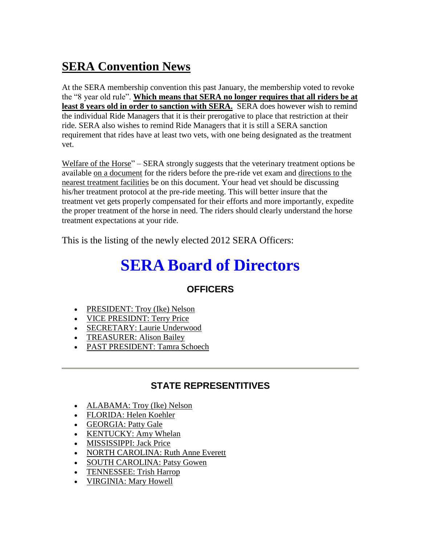# **SERA Convention News**

At the SERA membership convention this past January, the membership voted to revoke the "8 year old rule". **Which means that SERA no longer requires that all riders be at least 8 years old in order to sanction with SERA.** SERA does however wish to remind the individual Ride Managers that it is their prerogative to place that restriction at their ride. SERA also wishes to remind Ride Managers that it is still a SERA sanction requirement that rides have at least two vets, with one being designated as the treatment vet.

Welfare of the Horse" – SERA strongly suggests that the veterinary treatment options be available on a document for the riders before the pre-ride vet exam and directions to the nearest treatment facilities be on this document. Your head vet should be discussing his/her treatment protocol at the pre-ride meeting. This will better insure that the treatment vet gets properly compensated for their efforts and more importantly, expedite the proper treatment of the horse in need. The riders should clearly understand the horse treatment expectations at your ride.

This is the listing of the newly elected 2012 SERA Officers:

# **SERA Board of Directors**

### **OFFICERS**

- [PRESIDENT: Troy \(Ike\) Nelson](mailto:tne1020668@aol.com)
- [VICE PRESIDNT: Terry Price](mailto:johnterryprice@yahoo.com)
- [SECRETARY: Laurie Underwood](mailto:Laurieunderwood@cobridge.tv)
- [TREASURER: Alison Bailey](mailto:agbailey@carolina.rr.com)
- [PAST PRESIDENT: Tamra Schoech](mailto:tschoech@bellsouth.net)

### **STATE REPRESENTITIVES**

- [ALABAMA: Troy \(Ike\) Nelson](mailto:tne1020668@aol.com)
- [FLORIDA: Helen Koehler](mailto:Blackprong@aol.com)
- [GEORGIA: Patty Gale](mailto:patricia.b.gale@wellsfargo.com)
- [KENTUCKY: Amy Whelan](mailto:arabsrun@lycomonline.com)
- [MISSISSIPPI: Jack Price](mailto:jdp@wisecarter.com)
- [NORTH CAROLINA: Ruth Anne Everett](mailto:ruthanneeverett@embarqmail.com)
- [SOUTH CAROLINA: Patsy Gowen](mailto:firefoxrun@comporium.net)
- [TENNESSEE: Trish Harrop](mailto:MPHarrop@aol.com)
- [VIRGINIA: Mary Howell](mailto:countshiloh@gmail.com)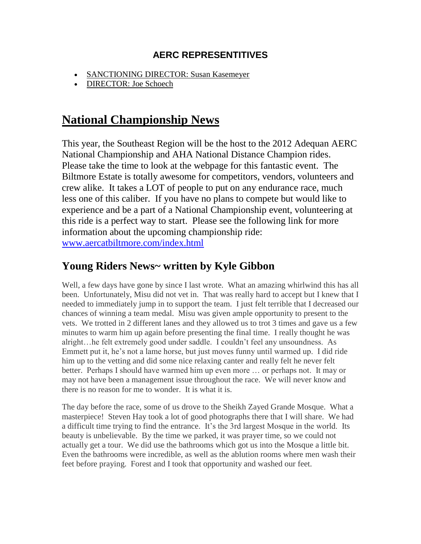### **AERC REPRESENTITIVES**

- [SANCTIONING DIRECTOR: Susan Kasemeyer](mailto:NDurN@aol.com)
- [DIRECTOR: Joe Schoech](mailto:jschoech@bellsouth.net)

## **National Championship News**

This year, the Southeast Region will be the host to the 2012 Adequan AERC National Championship and AHA National Distance Champion rides. Please take the time to look at the webpage for this fantastic event. The Biltmore Estate is totally awesome for competitors, vendors, volunteers and crew alike. It takes a LOT of people to put on any endurance race, much less one of this caliber. If you have no plans to compete but would like to experience and be a part of a National Championship event, volunteering at this ride is a perfect way to start. Please see the following link for more information about the upcoming championship ride: [www.aercatbiltmore.com/index.html](http://www.aercatbiltmore.com/index.html)

### **Young Riders News~ written by Kyle Gibbon**

Well, a few days have gone by since I last wrote. What an amazing whirlwind this has all been. Unfortunately, Misu did not vet in. That was really hard to accept but I knew that I needed to immediately jump in to support the team. I just felt terrible that I decreased our chances of winning a team medal. Misu was given ample opportunity to present to the vets. We trotted in 2 different lanes and they allowed us to trot 3 times and gave us a few minutes to warm him up again before presenting the final time. I really thought he was alright…he felt extremely good under saddle. I couldn't feel any unsoundness. As Emmett put it, he's not a lame horse, but just moves funny until warmed up. I did ride him up to the vetting and did some nice relaxing canter and really felt he never felt better. Perhaps I should have warmed him up even more … or perhaps not. It may or may not have been a management issue throughout the race. We will never know and there is no reason for me to wonder. It is what it is.

The day before the race, some of us drove to the Sheikh Zayed Grande Mosque. What a masterpiece! Steven Hay took a lot of good photographs there that I will share. We had a difficult time trying to find the entrance. It's the 3rd largest Mosque in the world. Its beauty is unbelievable. By the time we parked, it was prayer time, so we could not actually get a tour. We did use the bathrooms which got us into the Mosque a little bit. Even the bathrooms were incredible, as well as the ablution rooms where men wash their feet before praying. Forest and I took that opportunity and washed our feet.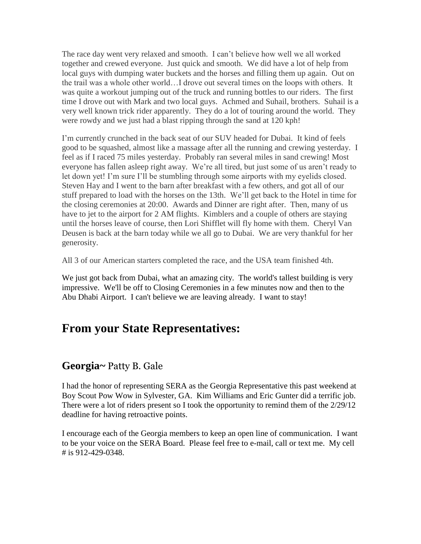The race day went very relaxed and smooth. I can't believe how well we all worked together and crewed everyone. Just quick and smooth. We did have a lot of help from local guys with dumping water buckets and the horses and filling them up again. Out on the trail was a whole other world…I drove out several times on the loops with others. It was quite a workout jumping out of the truck and running bottles to our riders. The first time I drove out with Mark and two local guys. Achmed and Suhail, brothers. Suhail is a very well known trick rider apparently. They do a lot of touring around the world. They were rowdy and we just had a blast ripping through the sand at 120 kph!

I'm currently crunched in the back seat of our SUV headed for Dubai. It kind of feels good to be squashed, almost like a massage after all the running and crewing yesterday. I feel as if I raced 75 miles yesterday. Probably ran several miles in sand crewing! Most everyone has fallen asleep right away. We're all tired, but just some of us aren't ready to let down yet! I'm sure I'll be stumbling through some airports with my eyelids closed. Steven Hay and I went to the barn after breakfast with a few others, and got all of our stuff prepared to load with the horses on the 13th. We'll get back to the Hotel in time for the closing ceremonies at 20:00. Awards and Dinner are right after. Then, many of us have to jet to the airport for 2 AM flights. Kimblers and a couple of others are staying until the horses leave of course, then Lori Shifflet will fly home with them. Cheryl Van Deusen is back at the barn today while we all go to Dubai. We are very thankful for her generosity.

All 3 of our American starters completed the race, and the USA team finished 4th.

We just got back from Dubai, what an amazing city. The world's tallest building is very impressive. We'll be off to Closing Ceremonies in a few minutes now and then to the Abu Dhabi Airport. I can't believe we are leaving already. I want to stay!

## **From your State Representatives:**

### **Georgia~** Patty B. Gale

I had the honor of representing SERA as the Georgia Representative this past weekend at Boy Scout Pow Wow in Sylvester, GA. Kim Williams and Eric Gunter did a terrific job. There were a lot of riders present so I took the opportunity to remind them of the 2/29/12 deadline for having retroactive points.

I encourage each of the Georgia members to keep an open line of communication. I want to be your voice on the SERA Board. Please feel free to e-mail, call or text me. My cell # is 912-429-0348.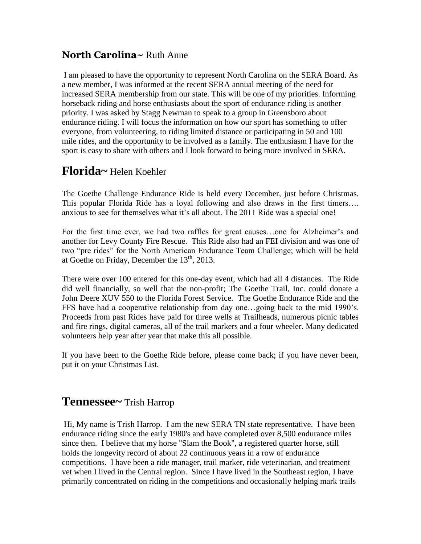### **North Carolina~** Ruth Anne

I am pleased to have the opportunity to represent North Carolina on the SERA Board. As a new member, I was informed at the recent SERA annual meeting of the need for increased SERA membership from our state. This will be one of my priorities. Informing horseback riding and horse enthusiasts about the sport of endurance riding is another priority. I was asked by Stagg Newman to speak to a group in Greensboro about endurance riding. I will focus the information on how our sport has something to offer everyone, from volunteering, to riding limited distance or participating in 50 and 100 mile rides, and the opportunity to be involved as a family. The enthusiasm I have for the sport is easy to share with others and I look forward to being more involved in SERA.

## **Florida~** Helen Koehler

The Goethe Challenge Endurance Ride is held every December, just before Christmas. This popular Florida Ride has a loyal following and also draws in the first timers…. anxious to see for themselves what it's all about. The 2011 Ride was a special one!

For the first time ever, we had two raffles for great causes…one for Alzheimer's and another for Levy County Fire Rescue. This Ride also had an FEI division and was one of two "pre rides" for the North American Endurance Team Challenge; which will be held at Goethe on Friday, December the  $13<sup>th</sup>$ , 2013.

There were over 100 entered for this one-day event, which had all 4 distances. The Ride did well financially, so well that the non-profit; The Goethe Trail, Inc. could donate a John Deere XUV 550 to the Florida Forest Service. The Goethe Endurance Ride and the FFS have had a cooperative relationship from day one…going back to the mid 1990's. Proceeds from past Rides have paid for three wells at Trailheads, numerous picnic tables and fire rings, digital cameras, all of the trail markers and a four wheeler. Many dedicated volunteers help year after year that make this all possible.

If you have been to the Goethe Ride before, please come back; if you have never been, put it on your Christmas List.

### **Tennessee~** Trish Harrop

Hi, My name is Trish Harrop. I am the new SERA TN state representative. I have been endurance riding since the early 1980's and have completed over 8,500 endurance miles since then. I believe that my horse "Slam the Book", a registered quarter horse, still holds the longevity record of about 22 continuous years in a row of endurance competitions. I have been a ride manager, trail marker, ride veterinarian, and treatment vet when I lived in the Central region. Since I have lived in the Southeast region, I have primarily concentrated on riding in the competitions and occasionally helping mark trails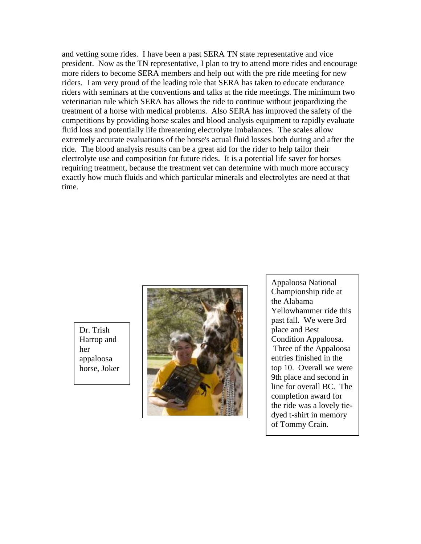and vetting some rides. I have been a past SERA TN state representative and vice president. Now as the TN representative, I plan to try to attend more rides and encourage more riders to become SERA members and help out with the pre ride meeting for new riders. I am very proud of the leading role that SERA has taken to educate endurance riders with seminars at the conventions and talks at the ride meetings. The minimum two veterinarian rule which SERA has allows the ride to continue without jeopardizing the treatment of a horse with medical problems. Also SERA has improved the safety of the competitions by providing horse scales and blood analysis equipment to rapidly evaluate fluid loss and potentially life threatening electrolyte imbalances. The scales allow extremely accurate evaluations of the horse's actual fluid losses both during and after the ride. The blood analysis results can be a great aid for the rider to help tailor their electrolyte use and composition for future rides. It is a potential life saver for horses requiring treatment, because the treatment vet can determine with much more accuracy exactly how much fluids and which particular minerals and electrolytes are need at that time.

Dr. Trish Harrop and her appaloosa horse, Joker



Appaloosa National Championship ride at the Alabama Yellowhammer ride this past fall. We were 3rd place and Best Condition Appaloosa. Three of the Appaloosa entries finished in the top 10. Overall we were 9th place and second in line for overall BC. The completion award for the ride was a lovely tiedyed t-shirt in memory of Tommy Crain.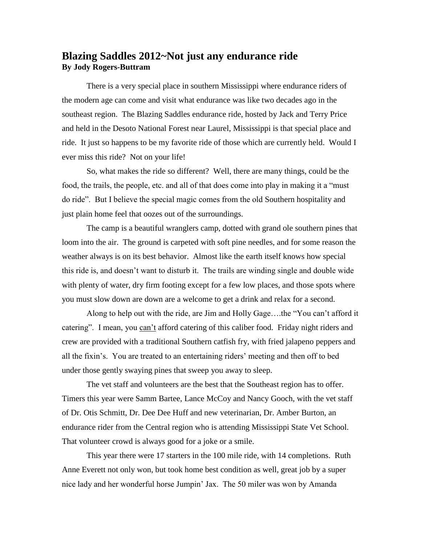### **Blazing Saddles 2012~Not just any endurance ride By Jody Rogers-Buttram**

There is a very special place in southern Mississippi where endurance riders of the modern age can come and visit what endurance was like two decades ago in the southeast region. The Blazing Saddles endurance ride, hosted by Jack and Terry Price and held in the Desoto National Forest near Laurel, Mississippi is that special place and ride. It just so happens to be my favorite ride of those which are currently held. Would I ever miss this ride? Not on your life!

So, what makes the ride so different? Well, there are many things, could be the food, the trails, the people, etc. and all of that does come into play in making it a "must do ride". But I believe the special magic comes from the old Southern hospitality and just plain home feel that oozes out of the surroundings.

The camp is a beautiful wranglers camp, dotted with grand ole southern pines that loom into the air. The ground is carpeted with soft pine needles, and for some reason the weather always is on its best behavior. Almost like the earth itself knows how special this ride is, and doesn't want to disturb it. The trails are winding single and double wide with plenty of water, dry firm footing except for a few low places, and those spots where you must slow down are down are a welcome to get a drink and relax for a second.

Along to help out with the ride, are Jim and Holly Gage….the "You can't afford it catering". I mean, you can't afford catering of this caliber food. Friday night riders and crew are provided with a traditional Southern catfish fry, with fried jalapeno peppers and all the fixin's. You are treated to an entertaining riders' meeting and then off to bed under those gently swaying pines that sweep you away to sleep.

The vet staff and volunteers are the best that the Southeast region has to offer. Timers this year were Samm Bartee, Lance McCoy and Nancy Gooch, with the vet staff of Dr. Otis Schmitt, Dr. Dee Dee Huff and new veterinarian, Dr. Amber Burton, an endurance rider from the Central region who is attending Mississippi State Vet School. That volunteer crowd is always good for a joke or a smile.

This year there were 17 starters in the 100 mile ride, with 14 completions. Ruth Anne Everett not only won, but took home best condition as well, great job by a super nice lady and her wonderful horse Jumpin' Jax. The 50 miler was won by Amanda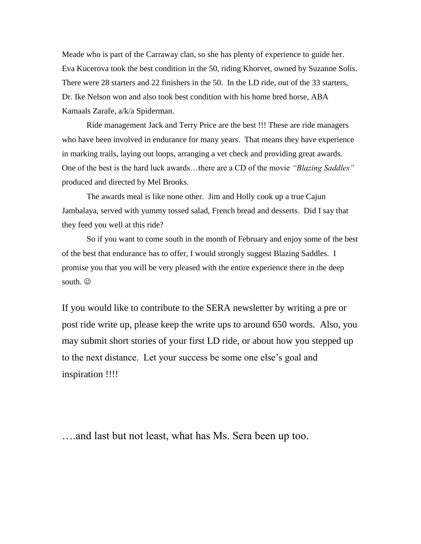Meade who is part of the Carraway clan, so she has plenty of experience to guide her. Eva Kucerova took the best condition in the 50, riding Khorvet, owned by Suzanne Solis. There were 28 starters and 22 finishers in the 50. In the LD ride, out of the 33 starters, Dr. Ike Nelson won and also took best condition with his home bred horse, ABA Kamaals Zarafe, a/k/a Spiderman.

Ride management Jack and Terry Price are the best !!! These are ride managers who have been involved in endurance for many years. That means they have experience in marking trails, laying out loops, arranging a vet check and providing great awards. One of the best is the hard luck awards…there are a CD of the movie *"Blazing Saddles"* produced and directed by Mel Brooks.

The awards meal is like none other. Jim and Holly cook up a true Cajun Jambalaya, served with yummy tossed salad, French bread and desserts. Did I say that they feed you well at this ride?

So if you want to come south in the month of February and enjoy some of the best of the best that endurance has to offer, I would strongly suggest Blazing Saddles. I promise you that you will be very pleased with the entire experience there in the deep south.  $\odot$ 

If you would like to contribute to the SERA newsletter by writing a pre or post ride write up, please keep the write ups to around 650 words. Also, you may submit short stories of your first LD ride, or about how you stepped up to the next distance. Let your success be some one else's goal and inspiration !!!!

….and last but not least, what has Ms. Sera been up too.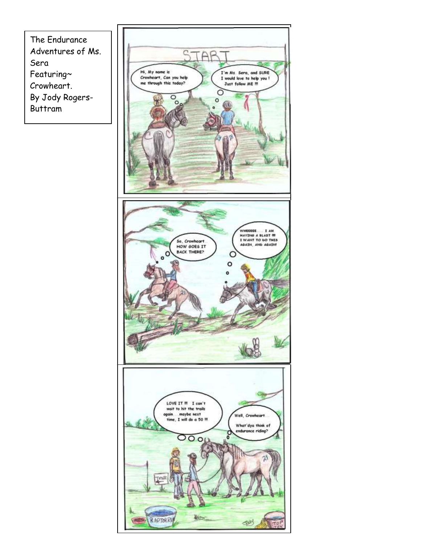The Endurance Adventures of Ms. Sera Featuring~ Crowheart. By Jody Rogers-Buttram